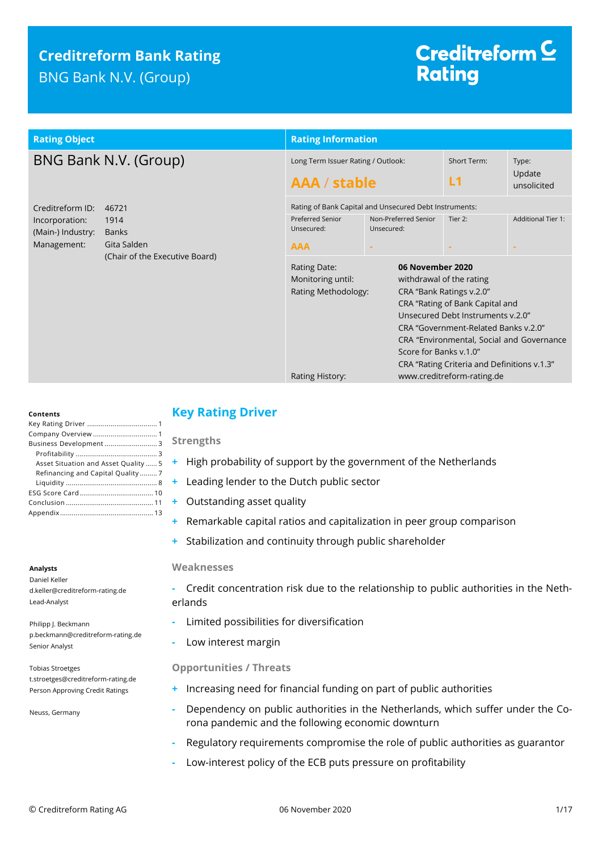# **Creditreform Bank Rating** BNG Bank N.V. (Group)

# Creditreform  $\subseteq$ **Rating**

| <b>Rating Object</b>                                                                      |                                | <b>Rating Information</b>                                                   |                                                        |                                                                                                                                                                                                                                                                                                                |                                |
|-------------------------------------------------------------------------------------------|--------------------------------|-----------------------------------------------------------------------------|--------------------------------------------------------|----------------------------------------------------------------------------------------------------------------------------------------------------------------------------------------------------------------------------------------------------------------------------------------------------------------|--------------------------------|
| BNG Bank N.V. (Group)                                                                     |                                | Long Term Issuer Rating / Outlook:<br><b>AAA / stable</b>                   |                                                        | Short Term:<br>L <sub>1</sub>                                                                                                                                                                                                                                                                                  | Type:<br>Update<br>unsolicited |
| Creditreform ID:                                                                          | 46721                          |                                                                             | Rating of Bank Capital and Unsecured Debt Instruments: |                                                                                                                                                                                                                                                                                                                |                                |
| 1914<br>Incorporation:<br>(Main-) Industry:<br><b>Banks</b><br>Gita Salden<br>Management: |                                | <b>Preferred Senior</b><br>Unsecured:<br><b>AAA</b>                         | Non-Preferred Senior<br>Unsecured:                     | Tier 2:                                                                                                                                                                                                                                                                                                        | <b>Additional Tier 1:</b>      |
|                                                                                           | (Chair of the Executive Board) | Rating Date:<br>Monitoring until:<br>Rating Methodology:<br>Rating History: | www.creditreform-rating.de                             | 06 November 2020<br>withdrawal of the rating<br>CRA "Bank Ratings v.2.0"<br>CRA "Rating of Bank Capital and<br>Unsecured Debt Instruments v.2.0"<br>CRA "Government-Related Banks v.2.0"<br>CRA "Environmental, Social and Governance<br>Score for Banks v.1.0"<br>CRA "Rating Criteria and Definitions v.1.3" |                                |
|                                                                                           |                                |                                                                             |                                                        |                                                                                                                                                                                                                                                                                                                |                                |

#### **Contents**

| Business Development 3               |
|--------------------------------------|
|                                      |
| Asset Situation and Asset Quality  5 |
| Refinancing and Capital Quality7     |
|                                      |
|                                      |
|                                      |
|                                      |

#### **Analysts**

Daniel Keller d.keller@creditreform-rating.de Lead-Analyst

Philipp J. Beckmann p.beckmann@creditreform-rating.de Senior Analyst

Tobias Stroetges t.stroetges@creditreform-rating.de Person Approving Credit Ratings

Neuss, Germany

# <span id="page-0-0"></span>**Key Rating Driver**

## **Strengths**

- **+** High probability of support by the government of the Netherlands
- **+** Leading lender to the Dutch public sector
- **+** Outstanding asset quality
- **+** Remarkable capital ratios and capitalization in peer group comparison
- **+** Stabilization and continuity through public shareholder

### **Weaknesses**

**-** Credit concentration risk due to the relationship to public authorities in the Netherlands

- **-** Limited possibilities for diversification
- **-** Low interest margin

## **Opportunities / Threats**

- **+** Increasing need for financial funding on part of public authorities
- <span id="page-0-1"></span>**-** Dependency on public authorities in the Netherlands, which suffer under the Corona pandemic and the following economic downturn
- **-** Regulatory requirements compromise the role of public authorities as guarantor
- **-** Low-interest policy of the ECB puts pressure on profitability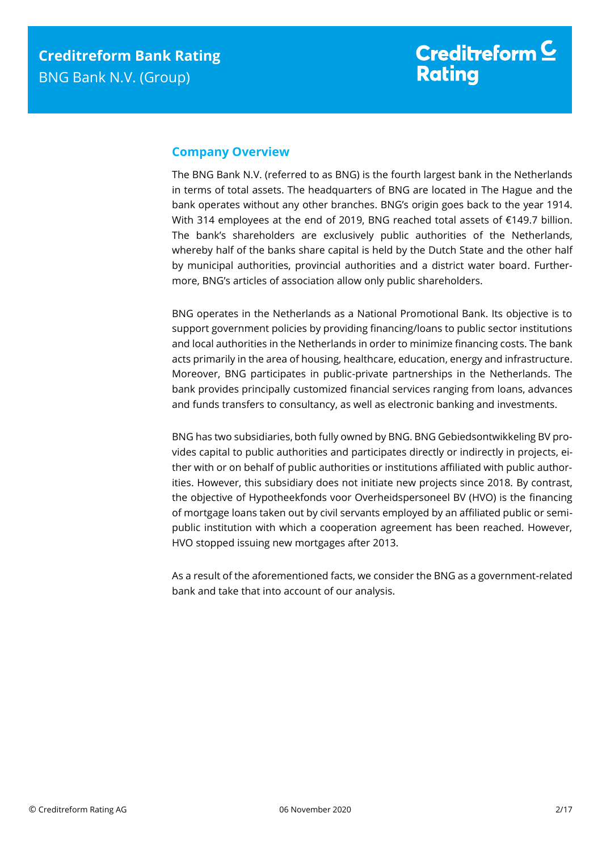# **Company Overview**

The BNG Bank N.V. (referred to as BNG) is the fourth largest bank in the Netherlands in terms of total assets. The headquarters of BNG are located in The Hague and the bank operates without any other branches. BNG's origin goes back to the year 1914. With 314 employees at the end of 2019, BNG reached total assets of €149.7 billion. The bank's shareholders are exclusively public authorities of the Netherlands, whereby half of the banks share capital is held by the Dutch State and the other half by municipal authorities, provincial authorities and a district water board. Furthermore, BNG's articles of association allow only public shareholders.

BNG operates in the Netherlands as a National Promotional Bank. Its objective is to support government policies by providing financing/loans to public sector institutions and local authorities in the Netherlands in order to minimize financing costs. The bank acts primarily in the area of housing, healthcare, education, energy and infrastructure. Moreover, BNG participates in public-private partnerships in the Netherlands. The bank provides principally customized financial services ranging from loans, advances and funds transfers to consultancy, as well as electronic banking and investments.

BNG has two subsidiaries, both fully owned by BNG. BNG Gebiedsontwikkeling BV provides capital to public authorities and participates directly or indirectly in projects, either with or on behalf of public authorities or institutions affiliated with public authorities. However, this subsidiary does not initiate new projects since 2018. By contrast, the objective of Hypotheekfonds voor Overheidspersoneel BV (HVO) is the financing of mortgage loans taken out by civil servants employed by an affiliated public or semipublic institution with which a cooperation agreement has been reached. However, HVO stopped issuing new mortgages after 2013.

As a result of the aforementioned facts, we consider the BNG as a government-related bank and take that into account of our analysis.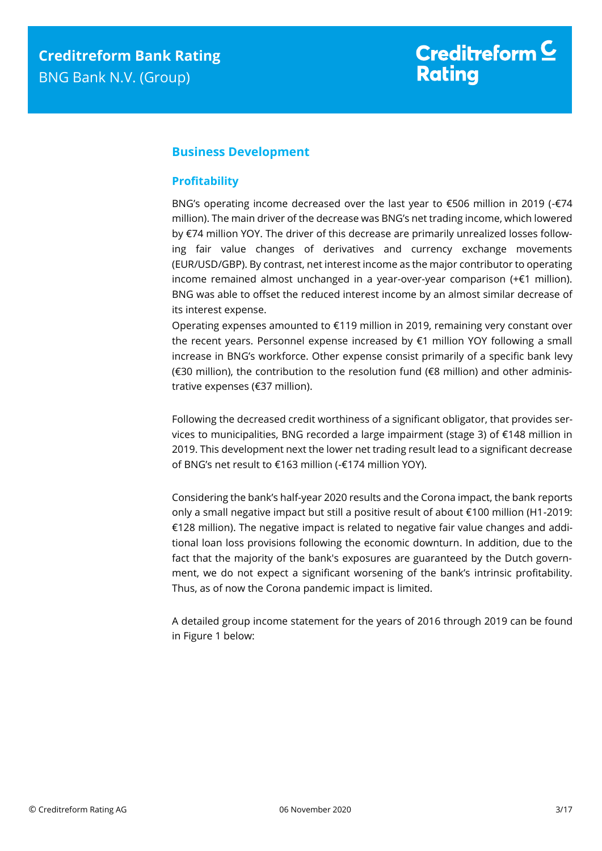# <span id="page-2-0"></span>**Business Development**

## <span id="page-2-1"></span>**Profitability**

BNG's operating income decreased over the last year to €506 million in 2019 (-€74 million). The main driver of the decrease was BNG's net trading income, which lowered by €74 million YOY. The driver of this decrease are primarily unrealized losses following fair value changes of derivatives and currency exchange movements (EUR/USD/GBP). By contrast, net interest income as the major contributor to operating income remained almost unchanged in a year-over-year comparison (+€1 million). BNG was able to offset the reduced interest income by an almost similar decrease of its interest expense.

Operating expenses amounted to €119 million in 2019, remaining very constant over the recent years. Personnel expense increased by €1 million YOY following a small increase in BNG's workforce. Other expense consist primarily of a specific bank levy (€30 million), the contribution to the resolution fund (€8 million) and other administrative expenses (€37 million).

Following the decreased credit worthiness of a significant obligator, that provides services to municipalities, BNG recorded a large impairment (stage 3) of €148 million in 2019. This development next the lower net trading result lead to a significant decrease of BNG's net result to €163 million (-€174 million YOY).

Considering the bank's half-year 2020 results and the Corona impact, the bank reports only a small negative impact but still a positive result of about €100 million (H1-2019: €128 million). The negative impact is related to negative fair value changes and additional loan loss provisions following the economic downturn. In addition, due to the fact that the majority of the bank's exposures are guaranteed by the Dutch government, we do not expect a significant worsening of the bank's intrinsic profitability. Thus, as of now the Corona pandemic impact is limited.

A detailed group income statement for the years of 2016 through 2019 can be found in Figure 1 below: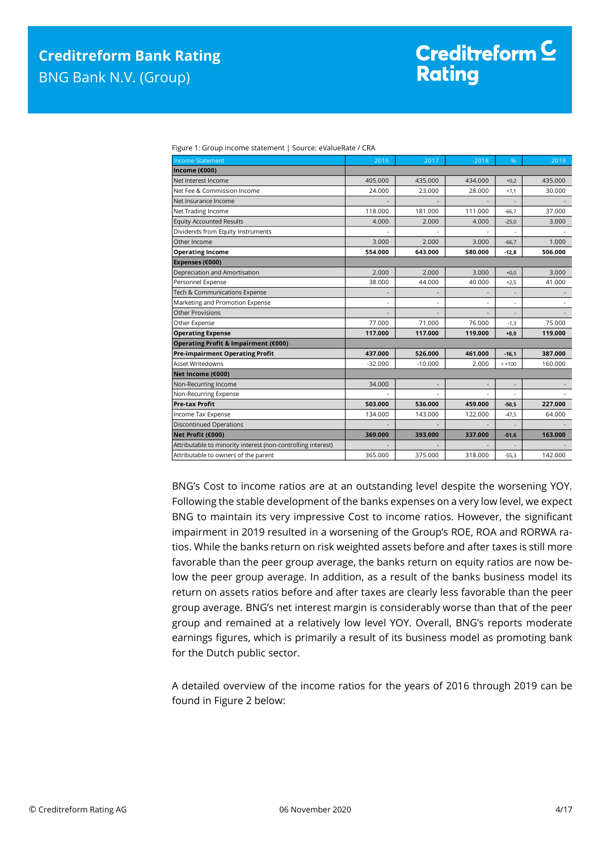| <b>Income Statement</b>                                      | 2016      | 2017      | 2018    | %        | 2019    |
|--------------------------------------------------------------|-----------|-----------|---------|----------|---------|
| Income (€000)                                                |           |           |         |          |         |
| Net Interest Income                                          | 405.000   | 435.000   | 434.000 | $+0,2$   | 435.000 |
| Net Fee & Commission Income                                  | 24.000    | 23.000    | 28.000  | $+7,1$   | 30.000  |
| Net Insurance Income                                         |           |           |         |          |         |
| Net Trading Income                                           | 118,000   | 181.000   | 111.000 | $-66.7$  | 37.000  |
| <b>Equity Accounted Results</b>                              | 4.000     | 2.000     | 4.000   | $-25,0$  | 3.000   |
| Dividends from Equity Instruments                            |           |           |         |          |         |
| Other Income                                                 | 3.000     | 2.000     | 3.000   | $-66,7$  | 1.000   |
| <b>Operating Income</b>                                      | 554.000   | 643.000   | 580.000 | $-12,8$  | 506.000 |
| Expenses (€000)                                              |           |           |         |          |         |
| Depreciation and Amortisation                                | 2.000     | 2.000     | 3.000   | $+0.0$   | 3.000   |
| Personnel Expense                                            | 38.000    | 44.000    | 40.000  | $+2.5$   | 41.000  |
| Tech & Communications Expense                                | -         |           |         |          |         |
| Marketing and Promotion Expense                              |           |           |         |          |         |
| <b>Other Provisions</b>                                      |           |           |         |          |         |
| Other Expense                                                | 77,000    | 71.000    | 76.000  | $-1,3$   | 75.000  |
| <b>Operating Expense</b>                                     | 117.000   | 117.000   | 119.000 | $+0,0$   | 119.000 |
| Operating Profit & Impairment (€000)                         |           |           |         |          |         |
| <b>Pre-impairment Operating Profit</b>                       | 437.000   | 526.000   | 461.000 | $-16.1$  | 387.000 |
| Asset Writedowns                                             | $-32.000$ | $-10.000$ | 2.000   | $> +100$ | 160.000 |
| Net Income (€000)                                            |           |           |         |          |         |
| Non-Recurring Income                                         | 34.000    |           |         |          |         |
| Non-Recurring Expense                                        |           |           |         |          |         |
| <b>Pre-tax Profit</b>                                        | 503.000   | 536.000   | 459.000 | $-50,5$  | 227.000 |
| Income Tax Expense                                           | 134.000   | 143.000   | 122.000 | $-47,5$  | 64.000  |
| <b>Discontinued Operations</b>                               |           |           |         |          |         |
| Net Profit (€000)                                            | 369.000   | 393.000   | 337.000 | $-51,6$  | 163.000 |
| Attributable to minority interest (non-controlling interest) |           |           |         |          |         |
| Attributable to owners of the parent                         | 365.000   | 375.000   | 318.000 | $-55,3$  | 142.000 |

Figure 1: Group income statement | Source: eValueRate / CRA

BNG's Cost to income ratios are at an outstanding level despite the worsening YOY. Following the stable development of the banks expenses on a very low level, we expect BNG to maintain its very impressive Cost to income ratios. However, the significant impairment in 2019 resulted in a worsening of the Group's ROE, ROA and RORWA ratios. While the banks return on risk weighted assets before and after taxes is still more favorable than the peer group average, the banks return on equity ratios are now below the peer group average. In addition, as a result of the banks business model its return on assets ratios before and after taxes are clearly less favorable than the peer group average. BNG's net interest margin is considerably worse than that of the peer group and remained at a relatively low level YOY. Overall, BNG's reports moderate earnings figures, which is primarily a result of its business model as promoting bank for the Dutch public sector.

A detailed overview of the income ratios for the years of 2016 through 2019 can be found in Figure 2 below: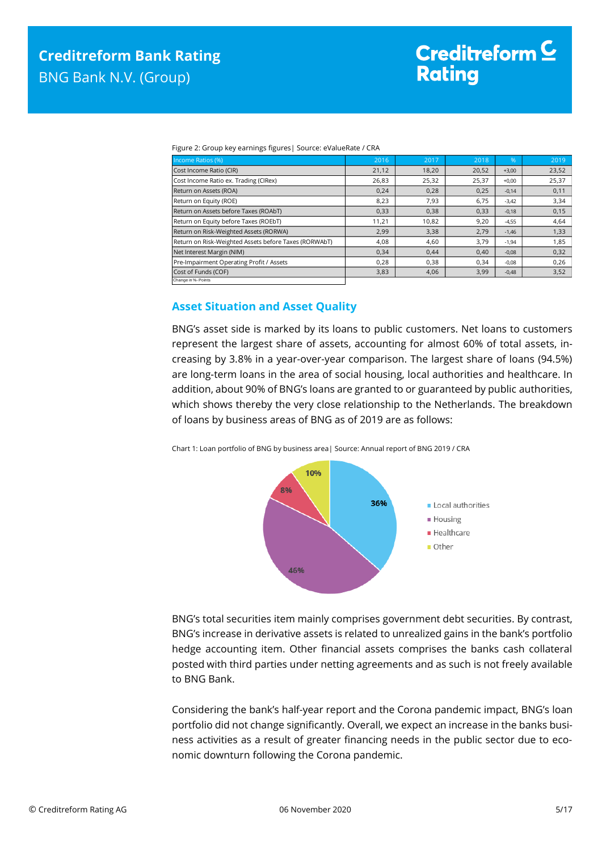|  | Figure 2: Group key earnings figures   Source: eValueRate / CRA |  |
|--|-----------------------------------------------------------------|--|
|  |                                                                 |  |
|  |                                                                 |  |

| Income Ratios (%)                                     | 2016  | 2017  | 2018  | %       | 2019  |
|-------------------------------------------------------|-------|-------|-------|---------|-------|
| Cost Income Ratio (CIR)                               | 21,12 | 18,20 | 20,52 | $+3,00$ | 23,52 |
| Cost Income Ratio ex. Trading (CIRex)                 | 26,83 | 25,32 | 25,37 | $+0,00$ | 25,37 |
| Return on Assets (ROA)                                | 0,24  | 0,28  | 0,25  | $-0,14$ | 0,11  |
| Return on Equity (ROE)                                | 8,23  | 7,93  | 6.75  | $-3,42$ | 3,34  |
| Return on Assets before Taxes (ROAbT)                 | 0,33  | 0,38  | 0,33  | $-0,18$ | 0,15  |
| Return on Equity before Taxes (ROEbT)                 | 11,21 | 10,82 | 9,20  | $-4,55$ | 4,64  |
| Return on Risk-Weighted Assets (RORWA)                | 2,99  | 3,38  | 2,79  | $-1,46$ | 1,33  |
| Return on Risk-Weighted Assets before Taxes (RORWAbT) | 4,08  | 4,60  | 3,79  | $-1,94$ | 1,85  |
| Net Interest Margin (NIM)                             | 0,34  | 0.44  | 0,40  | $-0,08$ | 0,32  |
| Pre-Impairment Operating Profit / Assets              | 0,28  | 0,38  | 0.34  | $-0,08$ | 0,26  |
| Cost of Funds (COF)                                   | 3,83  | 4,06  | 3,99  | $-0,48$ | 3,52  |
| Change in %- Points                                   |       |       |       |         |       |

## <span id="page-4-0"></span>**Asset Situation and Asset Quality**

BNG's asset side is marked by its loans to public customers. Net loans to customers represent the largest share of assets, accounting for almost 60% of total assets, increasing by 3.8% in a year-over-year comparison. The largest share of loans (94.5%) are long-term loans in the area of social housing, local authorities and healthcare. In addition, about 90% of BNG's loans are granted to or guaranteed by public authorities, which shows thereby the very close relationship to the Netherlands. The breakdown of loans by business areas of BNG as of 2019 are as follows:

Chart 1: Loan portfolio of BNG by business area| Source: Annual report of BNG 2019 / CRA



BNG's total securities item mainly comprises government debt securities. By contrast, BNG's increase in derivative assets is related to unrealized gains in the bank's portfolio hedge accounting item. Other financial assets comprises the banks cash collateral posted with third parties under netting agreements and as such is not freely available to BNG Bank.

Considering the bank's half-year report and the Corona pandemic impact, BNG's loan portfolio did not change significantly. Overall, we expect an increase in the banks business activities as a result of greater financing needs in the public sector due to economic downturn following the Corona pandemic.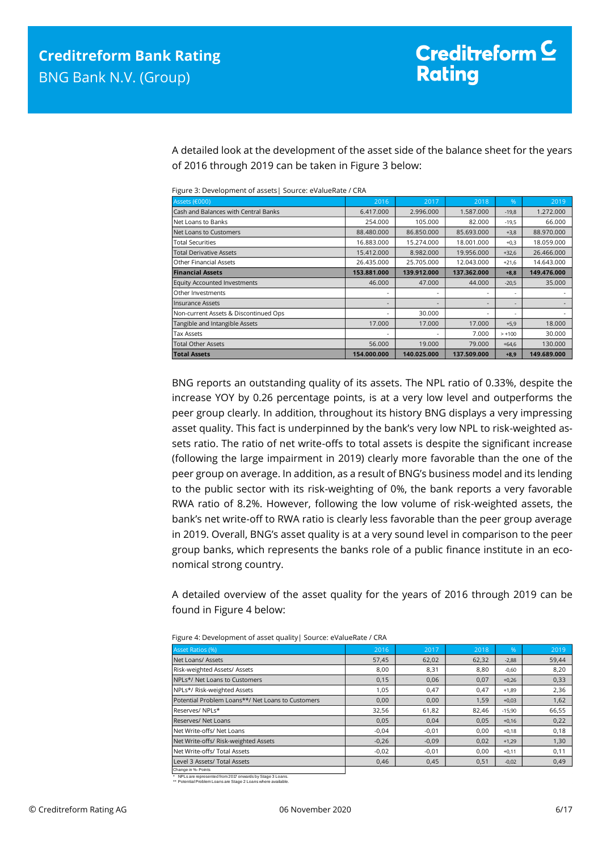A detailed look at the development of the asset side of the balance sheet for the years of 2016 through 2019 can be taken in Figure 3 below:

| Assets (€000)                         | 2016        | 2017        | 2018        | $\%$     | 2019        |
|---------------------------------------|-------------|-------------|-------------|----------|-------------|
| Cash and Balances with Central Banks  | 6.417.000   | 2.996.000   | 1.587.000   | $-19,8$  | 1.272.000   |
| Net Loans to Banks                    | 254.000     | 105.000     | 82.000      | $-19,5$  | 66.000      |
| Net Loans to Customers                | 88.480.000  | 86.850.000  | 85.693.000  | $+3,8$   | 88.970.000  |
| <b>Total Securities</b>               | 16.883.000  | 15.274.000  | 18.001.000  | $+0,3$   | 18.059.000  |
| <b>Total Derivative Assets</b>        | 15.412.000  | 8.982.000   | 19.956.000  | $+32,6$  | 26.466.000  |
| Other Financial Assets                | 26.435.000  | 25.705.000  | 12.043.000  | $+21,6$  | 14.643.000  |
| <b>Financial Assets</b>               | 153.881.000 | 139.912.000 | 137.362.000 | $+8,8$   | 149.476.000 |
| <b>Equity Accounted Investments</b>   | 46,000      | 47,000      | 44.000      | $-20,5$  | 35.000      |
| Other Investments                     |             |             |             | ٠        |             |
| <b>Insurance Assets</b>               |             | -           |             | ۰        |             |
| Non-current Assets & Discontinued Ops |             | 30.000      |             | ٠        |             |
| Tangible and Intangible Assets        | 17.000      | 17.000      | 17.000      | $+5,9$   | 18.000      |
| <b>Tax Assets</b>                     |             |             | 7.000       | $> +100$ | 30.000      |
| <b>Total Other Assets</b>             | 56.000      | 19.000      | 79.000      | $+64,6$  | 130.000     |
| <b>Total Assets</b>                   | 154.000.000 | 140.025.000 | 137.509.000 | $+8,9$   | 149.689.000 |

Figure 3: Development of assets| Source: eValueRate / CRA

BNG reports an outstanding quality of its assets. The NPL ratio of 0.33%, despite the increase YOY by 0.26 percentage points, is at a very low level and outperforms the peer group clearly. In addition, throughout its history BNG displays a very impressing asset quality. This fact is underpinned by the bank's very low NPL to risk-weighted assets ratio. The ratio of net write-offs to total assets is despite the significant increase (following the large impairment in 2019) clearly more favorable than the one of the peer group on average. In addition, as a result of BNG's business model and its lending to the public sector with its risk-weighting of 0%, the bank reports a very favorable RWA ratio of 8.2%. However, following the low volume of risk-weighted assets, the bank's net write-off to RWA ratio is clearly less favorable than the peer group average in 2019. Overall, BNG's asset quality is at a very sound level in comparison to the peer group banks, which represents the banks role of a public finance institute in an economical strong country.

A detailed overview of the asset quality for the years of 2016 through 2019 can be found in Figure 4 below:

| Asset Ratios (%)                                  | 2016    | 2017    | 2018  | $\frac{9}{6}$ | 2019  |
|---------------------------------------------------|---------|---------|-------|---------------|-------|
| Net Loans/ Assets                                 | 57,45   | 62,02   | 62,32 | $-2,88$       | 59,44 |
| Risk-weighted Assets/ Assets                      | 8,00    | 8,31    | 8,80  | $-0,60$       | 8,20  |
| NPLs*/ Net Loans to Customers                     | 0,15    | 0,06    | 0,07  | $+0,26$       | 0,33  |
| NPLs*/ Risk-weighted Assets                       | 1,05    | 0,47    | 0,47  | $+1,89$       | 2,36  |
| Potential Problem Loans**/ Net Loans to Customers | 0,00    | 0.00    | 1,59  | $+0,03$       | 1,62  |
| Reserves/NPLs*                                    | 32,56   | 61,82   | 82,46 | $-15,90$      | 66,55 |
| Reserves/ Net Loans                               | 0,05    | 0,04    | 0,05  | $+0,16$       | 0,22  |
| Net Write-offs/ Net Loans                         | $-0,04$ | $-0,01$ | 0,00  | $+0,18$       | 0,18  |
| Net Write-offs/ Risk-weighted Assets              | $-0,26$ | $-0,09$ | 0,02  | $+1,29$       | 1,30  |
| Net Write-offs/ Total Assets                      | $-0,02$ | $-0,01$ | 0.00  | $+0,11$       | 0,11  |
| Level 3 Assets/ Total Assets                      | 0,46    | 0,45    | 0,51  | $-0,02$       | 0,49  |
| Change in %- Points                               |         |         |       |               |       |

Figure 4: Development of asset quality| Source: eValueRate / CRA

\* NPLs are represented from 2017 onwards by Stage 3 Loans. \*\* Potential Problem Loans are Stage 2 Loans where available.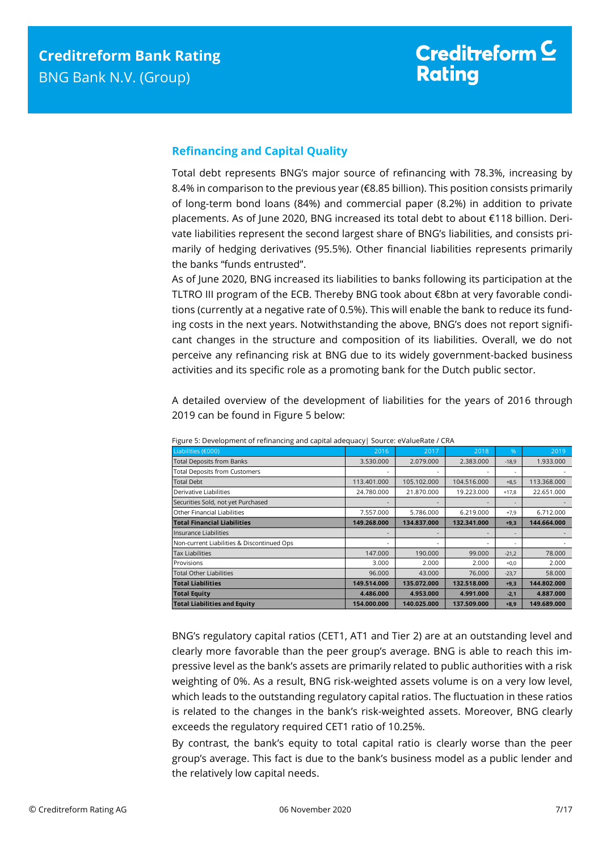## <span id="page-6-0"></span>**Refinancing and Capital Quality**

Total debt represents BNG's major source of refinancing with 78.3%, increasing by 8.4% in comparison to the previous year ( $\epsilon$ 8.85 billion). This position consists primarily of long-term bond loans (84%) and commercial paper (8.2%) in addition to private placements. As of June 2020, BNG increased its total debt to about €118 billion. Derivate liabilities represent the second largest share of BNG's liabilities, and consists primarily of hedging derivatives (95.5%). Other financial liabilities represents primarily the banks "funds entrusted".

As of June 2020, BNG increased its liabilities to banks following its participation at the TLTRO III program of the ECB. Thereby BNG took about €8bn at very favorable conditions (currently at a negative rate of 0.5%). This will enable the bank to reduce its funding costs in the next years. Notwithstanding the above, BNG's does not report significant changes in the structure and composition of its liabilities. Overall, we do not perceive any refinancing risk at BNG due to its widely government-backed business activities and its specific role as a promoting bank for the Dutch public sector.

A detailed overview of the development of liabilities for the years of 2016 through 2019 can be found in Figure 5 below:

| Liabilities (€000)                         | 2016        | 2017        | 2018        | $\%$    | 2019        |
|--------------------------------------------|-------------|-------------|-------------|---------|-------------|
| <b>Total Deposits from Banks</b>           | 3.530.000   | 2.079.000   | 2.383.000   | $-18,9$ | 1.933.000   |
| <b>Total Deposits from Customers</b>       |             |             |             | ۰       |             |
| <b>Total Debt</b>                          | 113,401,000 | 105.102.000 | 104.516.000 | $+8,5$  | 113.368.000 |
| Derivative Liabilities                     | 24.780.000  | 21.870.000  | 19.223.000  | $+17.8$ | 22.651.000  |
| Securities Sold, not yet Purchased         |             |             |             | ۰       |             |
| Other Financial Liabilities                | 7.557.000   | 5.786.000   | 6.219.000   | $+7,9$  | 6.712.000   |
| <b>Total Financial Liabilities</b>         | 149.268.000 | 134.837.000 | 132.341.000 | $+9,3$  | 144.664.000 |
| Insurance Liabilities                      |             |             |             | ۰       |             |
| Non-current Liabilities & Discontinued Ops |             |             |             | ۰       |             |
| <b>Tax Liabilities</b>                     | 147.000     | 190.000     | 99,000      | $-21,2$ | 78,000      |
| Provisions                                 | 3.000       | 2.000       | 2.000       | $+0,0$  | 2.000       |
| <b>Total Other Liabilities</b>             | 96.000      | 43.000      | 76.000      | $-23,7$ | 58.000      |
| <b>Total Liabilities</b>                   | 149.514.000 | 135.072.000 | 132.518.000 | $+9,3$  | 144.802.000 |
| <b>Total Equity</b>                        | 4.486.000   | 4.953.000   | 4.991.000   | $-2,1$  | 4.887.000   |
| <b>Total Liabilities and Equity</b>        | 154.000.000 | 140.025.000 | 137.509.000 | $+8,9$  | 149.689.000 |

Figure 5: Development of refinancing and capital adequacy| Source: eValueRate / CRA

BNG's regulatory capital ratios (CET1, AT1 and Tier 2) are at an outstanding level and clearly more favorable than the peer group's average. BNG is able to reach this impressive level as the bank's assets are primarily related to public authorities with a risk weighting of 0%. As a result, BNG risk-weighted assets volume is on a very low level, which leads to the outstanding regulatory capital ratios. The fluctuation in these ratios is related to the changes in the bank's risk-weighted assets. Moreover, BNG clearly exceeds the regulatory required CET1 ratio of 10.25%.

By contrast, the bank's equity to total capital ratio is clearly worse than the peer group's average. This fact is due to the bank's business model as a public lender and the relatively low capital needs.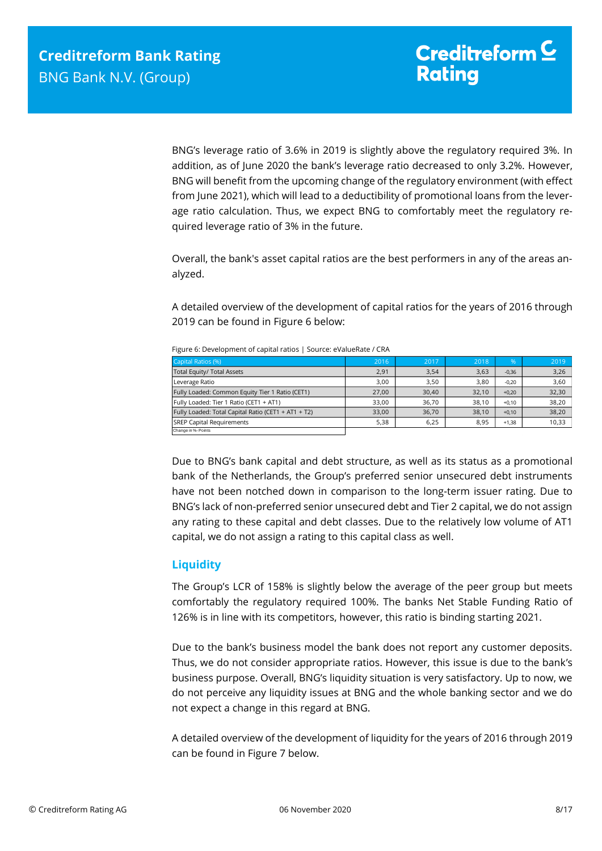BNG's leverage ratio of 3.6% in 2019 is slightly above the regulatory required 3%. In addition, as of June 2020 the bank's leverage ratio decreased to only 3.2%. However, BNG will benefit from the upcoming change of the regulatory environment (with effect from June 2021), which will lead to a deductibility of promotional loans from the leverage ratio calculation. Thus, we expect BNG to comfortably meet the regulatory required leverage ratio of 3% in the future.

Overall, the bank's asset capital ratios are the best performers in any of the areas analyzed.

A detailed overview of the development of capital ratios for the years of 2016 through 2019 can be found in Figure 6 below:

| Capital Ratios (%)                                  | 2016  | 2017  | 2018  | $\%$    | 2019  |
|-----------------------------------------------------|-------|-------|-------|---------|-------|
| Total Equity/ Total Assets                          | 2,91  | 3.54  | 3,63  | $-0,36$ | 3,26  |
| Leverage Ratio                                      | 3.00  | 3.50  | 3,80  | $-0.20$ | 3,60  |
| Fully Loaded: Common Equity Tier 1 Ratio (CET1)     | 27,00 | 30.40 | 32.10 | $+0,20$ | 32,30 |
| Fully Loaded: Tier 1 Ratio (CET1 + AT1)             | 33.00 | 36.70 | 38.10 | $+0.10$ | 38,20 |
| Fully Loaded: Total Capital Ratio (CET1 + AT1 + T2) | 33.00 | 36,70 | 38,10 | $+0,10$ | 38,20 |
| <b>SREP Capital Requirements</b>                    | 5,38  | 6,25  | 8,95  | $+1,38$ | 10,33 |
| Change in %-Points                                  |       |       |       |         |       |

Figure 6: Development of capital ratios | Source: eValueRate / CRA

<span id="page-7-0"></span>Due to BNG's bank capital and debt structure, as well as its status as a promotional bank of the Netherlands, the Group's preferred senior unsecured debt instruments have not been notched down in comparison to the long-term issuer rating. Due to BNG's lack of non-preferred senior unsecured debt and Tier 2 capital, we do not assign any rating to these capital and debt classes. Due to the relatively low volume of AT1 capital, we do not assign a rating to this capital class as well.

## **Liquidity**

The Group's LCR of 158% is slightly below the average of the peer group but meets comfortably the regulatory required 100%. The banks Net Stable Funding Ratio of 126% is in line with its competitors, however, this ratio is binding starting 2021.

Due to the bank's business model the bank does not report any customer deposits. Thus, we do not consider appropriate ratios. However, this issue is due to the bank's business purpose. Overall, BNG's liquidity situation is very satisfactory. Up to now, we do not perceive any liquidity issues at BNG and the whole banking sector and we do not expect a change in this regard at BNG.

A detailed overview of the development of liquidity for the years of 2016 through 2019 can be found in Figure 7 below.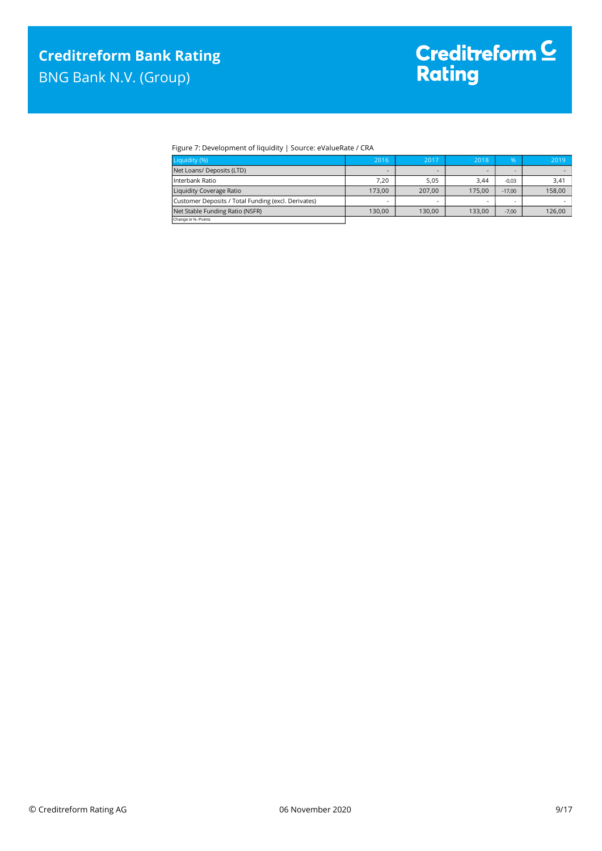#### Figure 7: Development of liquidity | Source: eValueRate / CRA

| Liquidity (%)                                       | 2016                     | 2017                     | 2018   | 96'      | 2019   |
|-----------------------------------------------------|--------------------------|--------------------------|--------|----------|--------|
| Net Loans/ Deposits (LTD)                           | $\overline{\phantom{0}}$ | $\overline{\phantom{0}}$ | -      | ۰        |        |
| Interbank Ratio                                     | 7.20                     | 5.05                     | 3.44   | $-0.03$  | 3,41   |
| Liquidity Coverage Ratio                            | 173.00                   | 207,00                   | 175.00 | $-17.00$ | 158,00 |
| Customer Deposits / Total Funding (excl. Derivates) | $\sim$                   |                          |        |          |        |
| Net Stable Funding Ratio (NSFR)                     | 130.00                   | 130.00                   | 133.00 | $-7,00$  | 126,00 |
| Change in %- Points                                 |                          |                          |        |          |        |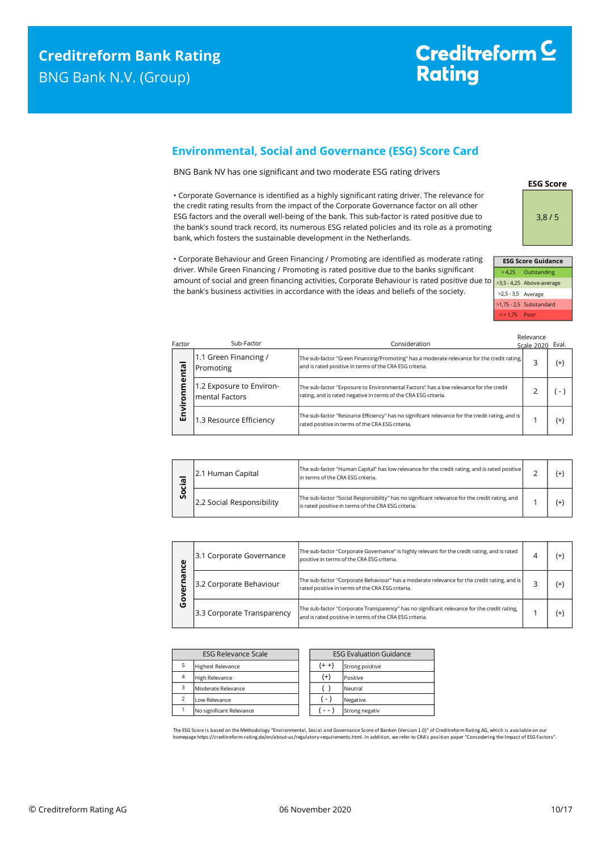# Creditreform<sup>C</sup> **Rating**

# <span id="page-9-0"></span>**Environmental, Social and Governance (ESG) Score Card**

BNG Bank NV has one significant and two moderate ESG rating drivers

• Corporate Governance is identified as a highly significant rating driver. The relevance for the credit rating results from the impact of the Corporate Governance factor on all other ESG factors and the overall well-being of the bank. This sub-factor is rated positive due to the bank's sound track record, its numerous ESG related policies and its role as a promoting bank, which fosters the sustainable development in the Netherlands.

• Corporate Behaviour and Green Financing / Promoting are identified as moderate rating driver. While Green Financing / Promoting is rated positive due to the banks significant amount of social and green financing activities, Corporate Behaviour is rated positive due to the bank's business activities in accordance with the ideas and beliefs of the society.

> 4,25 Outstanding >3,5 - 4,25 Above-average >2,5 - 3,5 Average >1,75 - 2,5 Substandard **ESG Score Guidance**

Relevance

**ESG Score**

3,8 / 5

 $\le$  = 1,75 Poor

| Factor                                         | Sub-Factor                                 | Consideration                                                                                                                                            | Scale 2020 | Eval.    |
|------------------------------------------------|--------------------------------------------|----------------------------------------------------------------------------------------------------------------------------------------------------------|------------|----------|
| ntal<br>$\overline{\mathbf{v}}$<br>ō<br>Σ<br>西 | 1.1 Green Financing /<br>Promoting         | The sub-factor "Green Financing/Promoting" has a moderate relevance for the credit rating,<br>and is rated positive in terms of the CRA ESG criteria.    | 3          | $^{(+)}$ |
|                                                | 1.2 Exposure to Environ-<br>mental Factors | The sub-factor "Exposure to Environmental Factors" has a low relevance for the credit<br>rating, and is rated negative in terms of the CRA ESG criteria. |            | $\sim$   |
|                                                | 1.3 Resource Efficiency                    | The sub-factor "Resource Efficiency" has no significant relevance for the credit rating, and is<br>rated positive in terms of the CRA ESG criteria.      |            | $^{(+)}$ |

| ο<br>Ū | 2.1 Human Capital         | The sub-factor "Human Capital" has low relevance for the credit rating, and is rated positive<br>In terms of the CRA ESG criteria.                    |  |  |
|--------|---------------------------|-------------------------------------------------------------------------------------------------------------------------------------------------------|--|--|
|        | 2.2 Social Responsibility | The sub-factor "Social Responsibility" has no significant relevance for the credit rating, and<br>is rated positive in terms of the CRA ESG criteria. |  |  |

| ပ္ပ<br>о<br>O | 3.1 Corporate Governance   | The sub-factor "Corporate Governance" is highly relevant for the credit rating, and is rated<br>positive in terms of the CRA ESG criteria.             |  | 1+       |
|---------------|----------------------------|--------------------------------------------------------------------------------------------------------------------------------------------------------|--|----------|
|               | 3.2 Corporate Behaviour    | The sub-factor "Corporate Behaviour" has a moderate relevance for the credit rating, and is<br>rated positive in terms of the CRA ESG criteria.        |  | (+       |
|               | 3.3 Corporate Transparency | The sub-factor "Corporate Transparency" has no significant relevance for the credit rating,<br>and is rated positive in terms of the CRA ESG criteria. |  | $^{(+)}$ |

| <b>ESG Relevance Scale</b> |                          | <b>ESG Evaluation Guidance</b> |                 |
|----------------------------|--------------------------|--------------------------------|-----------------|
|                            | <b>Highest Relevance</b> | $(+ +)$                        | Strong positive |
| $\overline{4}$             | <b>High Relevance</b>    | $^{(+)}$                       | Positive        |
| 3                          | Moderate Relevance       |                                | Neutral         |
|                            | Low Relevance            | $(-)$                          | Negative        |
|                            | No significant Relevance | - -                            | Strong negativ  |

The ESG Score is based on the Methodology "Environmental, Social and Governance Score of Banken (Version 1.0)" of Creditreform Rating AG, which is available on our homepage https://creditreform-rating.de/en/about-us/regulatory-requirements.html. In addition, we refer to CRA's position paper "Consodering the Impact of ESG Factors".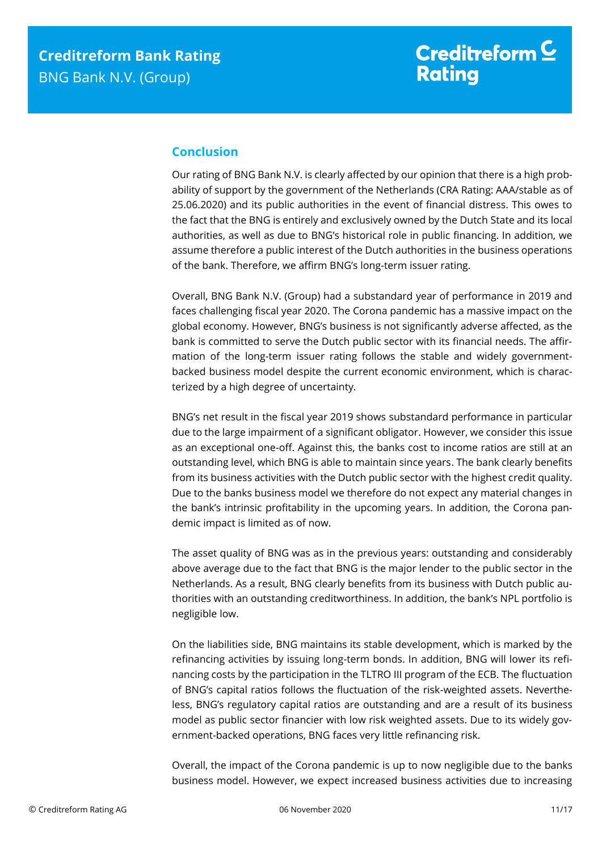# <span id="page-10-0"></span>**Conclusion**

Our rating of BNG Bank N.V. is clearly affected by our opinion that there is a high probability of support by the government of the Netherlands (CRA Rating: AAA/stable as of 25.06.2020) and its public authorities in the event of financial distress. This owes to the fact that the BNG is entirely and exclusively owned by the Dutch State and its local authorities, as well as due to BNG's historical role in public financing. In addition, we assume therefore a public interest of the Dutch authorities in the business operations of the bank. Therefore, we affirm BNG's long-term issuer rating.

Overall, BNG Bank N.V. (Group) had a substandard year of performance in 2019 and faces challenging fiscal year 2020. The Corona pandemic has a massive impact on the global economy. However, BNG's business is not significantly adverse affected, as the bank is committed to serve the Dutch public sector with its financial needs. The affirmation of the long-term issuer rating follows the stable and widely governmentbacked business model despite the current economic environment, which is characterized by a high degree of uncertainty.

BNG's net result in the fiscal year 2019 shows substandard performance in particular due to the large impairment of a significant obligator. However, we consider this issue as an exceptional one-off. Against this, the banks cost to income ratios are still at an outstanding level, which BNG is able to maintain since years. The bank clearly benefits from its business activities with the Dutch public sector with the highest credit quality. Due to the banks business model we therefore do not expect any material changes in the bank's intrinsic profitability in the upcoming years. In addition, the Corona pandemic impact is limited as of now.

The asset quality of BNG was as in the previous years: outstanding and considerably above average due to the fact that BNG is the major lender to the public sector in the Netherlands. As a result, BNG clearly benefits from its business with Dutch public authorities with an outstanding creditworthiness. In addition, the bank's NPL portfolio is negligible low.

On the liabilities side, BNG maintains its stable development, which is marked by the refinancing activities by issuing long-term bonds. In addition, BNG will lower its refinancing costs by the participation in the TLTRO III program of the ECB. The fluctuation of BNG's capital ratios follows the fluctuation of the risk-weighted assets. Nevertheless, BNG's regulatory capital ratios are outstanding and are a result of its business model as public sector financier with low risk weighted assets. Due to its widely government-backed operations, BNG faces very little refinancing risk.

Overall, the impact of the Corona pandemic is up to now negligible due to the banks business model. However, we expect increased business activities due to increasing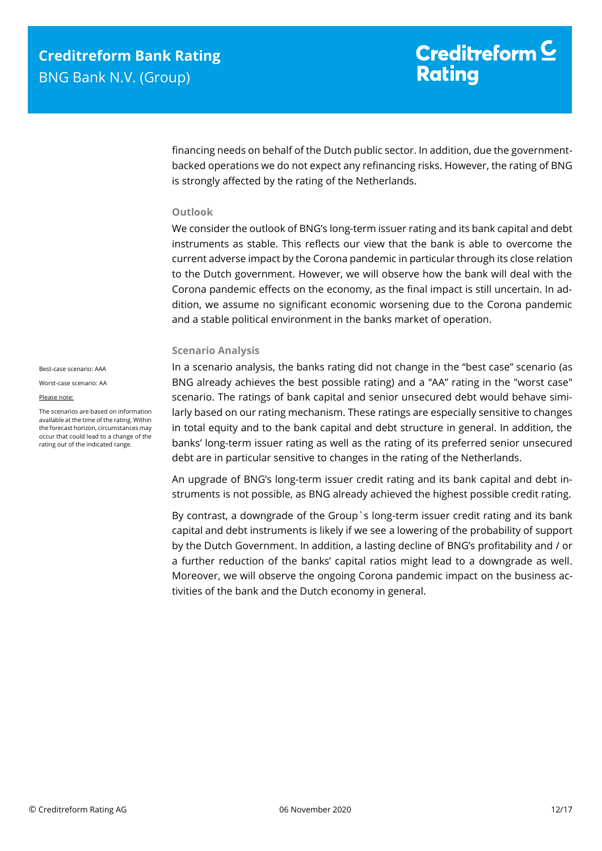financing needs on behalf of the Dutch public sector. In addition, due the governmentbacked operations we do not expect any refinancing risks. However, the rating of BNG is strongly affected by the rating of the Netherlands.

## **Outlook**

We consider the outlook of BNG's long-term issuer rating and its bank capital and debt instruments as stable. This reflects our view that the bank is able to overcome the current adverse impact by the Corona pandemic in particular through its close relation to the Dutch government. However, we will observe how the bank will deal with the Corona pandemic effects on the economy, as the final impact is still uncertain. In addition, we assume no significant economic worsening due to the Corona pandemic and a stable political environment in the banks market of operation.

### **Scenario Analysis**

In a scenario analysis, the banks rating did not change in the "best case" scenario (as BNG already achieves the best possible rating) and a "AA" rating in the "worst case" scenario. The ratings of bank capital and senior unsecured debt would behave similarly based on our rating mechanism. These ratings are especially sensitive to changes in total equity and to the bank capital and debt structure in general. In addition, the banks' long-term issuer rating as well as the rating of its preferred senior unsecured debt are in particular sensitive to changes in the rating of the Netherlands.

An upgrade of BNG's long-term issuer credit rating and its bank capital and debt instruments is not possible, as BNG already achieved the highest possible credit rating.

By contrast, a downgrade of the Group`s long-term issuer credit rating and its bank capital and debt instruments is likely if we see a lowering of the probability of support by the Dutch Government. In addition, a lasting decline of BNG's profitability and / or a further reduction of the banks' capital ratios might lead to a downgrade as well. Moreover, we will observe the ongoing Corona pandemic impact on the business activities of the bank and the Dutch economy in general.

Best-case scenario: AAA

Worst-case scenario: AA

Please note:

The scenarios are based on information available at the time of the rating. Within the forecast horizon, circumstances may occur that could lead to a change of the rating out of the indicated range.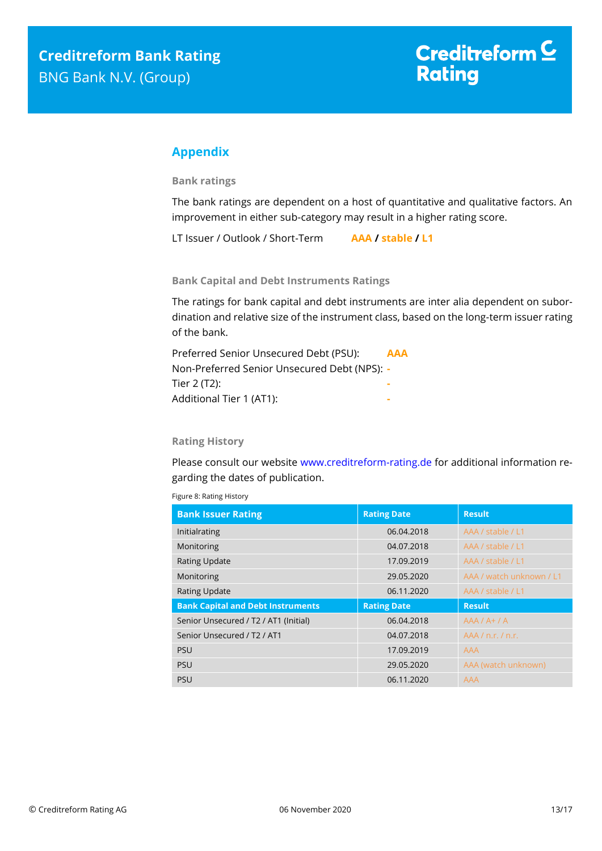# <span id="page-12-0"></span>**Appendix**

**Bank ratings**

The bank ratings are dependent on a host of quantitative and qualitative factors. An improvement in either sub-category may result in a higher rating score.

LT Issuer / Outlook / Short-Term **AAA / stable / L1**

**Bank Capital and Debt Instruments Ratings**

The ratings for bank capital and debt instruments are inter alia dependent on subordination and relative size of the instrument class, based on the long-term issuer rating of the bank.

| AAA                                          |
|----------------------------------------------|
| Non-Preferred Senior Unsecured Debt (NPS): - |
|                                              |
|                                              |
|                                              |

## **Rating History**

Please consult our website [www.creditreform-rating.de](http://www.creditreform-rating.de/) for additional information regarding the dates of publication.

| <b>Bank Issuer Rating</b>                | <b>Rating Date</b> | <b>Result</b>            |
|------------------------------------------|--------------------|--------------------------|
| Initialrating                            | 06.04.2018         | AAA / stable / L1        |
| Monitoring                               | 04.07.2018         | AAA / stable / L1        |
| <b>Rating Update</b>                     | 17.09.2019         | AAA / stable / L1        |
| Monitoring                               | 29.05.2020         | AAA / watch unknown / L1 |
| <b>Rating Update</b>                     | 06.11.2020         | AAA / stable / L1        |
| <b>Bank Capital and Debt Instruments</b> | <b>Rating Date</b> | <b>Result</b>            |
| Senior Unsecured / T2 / AT1 (Initial)    | 06.04.2018         | $AAA / A+ / A$           |
| Senior Unsecured / T2 / AT1              | 04.07.2018         | AAA/n.r./n.r.            |
| <b>PSU</b>                               | 17.09.2019         | <b>AAA</b>               |
| <b>PSU</b>                               | 29.05.2020         | AAA (watch unknown)      |
| <b>PSU</b>                               | 06.11.2020         | <b>AAA</b>               |

Figure 8: Rating History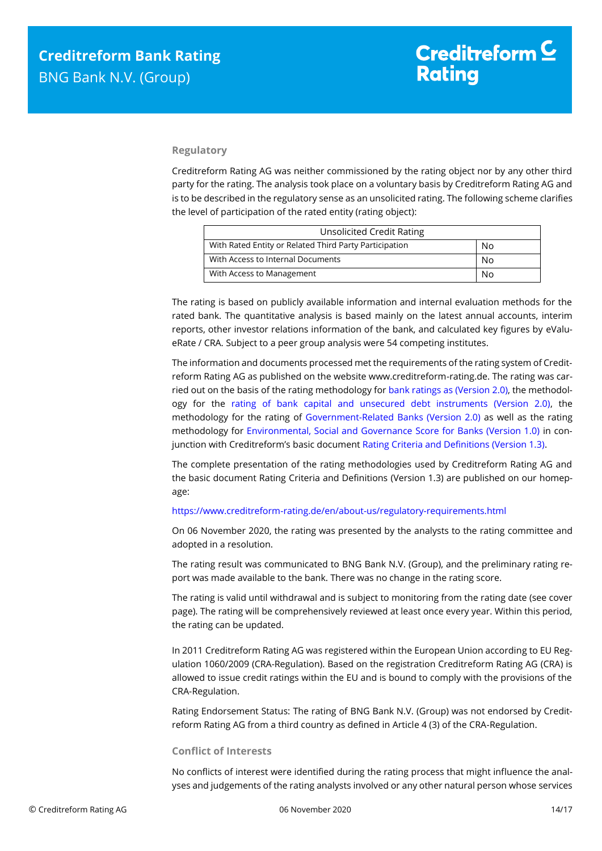## **Regulatory**

Creditreform Rating AG was neither commissioned by the rating object nor by any other third party for the rating. The analysis took place on a voluntary basis by Creditreform Rating AG and is to be described in the regulatory sense as an unsolicited rating. The following scheme clarifies the level of participation of the rated entity (rating object):

| <b>Unsolicited Credit Rating</b>                       |    |
|--------------------------------------------------------|----|
| With Rated Entity or Related Third Party Participation | No |
| With Access to Internal Documents                      | No |
| With Access to Management<br>Nο                        |    |

The rating is based on publicly available information and internal evaluation methods for the rated bank. The quantitative analysis is based mainly on the latest annual accounts, interim reports, other investor relations information of the bank, and calculated key figures by eValueRate / CRA. Subject to a peer group analysis were 54 competing institutes.

The information and documents processed met the requirements of the rating system of Creditreform Rating AG as published on the website www.creditreform-rating.de. The rating was carried out on the basis of the rating methodology fo[r bank ratings as \(Version 2.0\),](https://www.creditreform-rating.de/en/about-us/regulatory-requirements.html?file=files/content/downloads/Externes%20Rating/Regulatorische%20Anforderungen/EN/Ratingmethodiken%20EN/Rating%20Methodology%20Bank%20Ratings%20v2.0.pdf) the methodology for the [rating of bank capital and unsecured debt instruments \(Version 2.0\),](https://www.creditreform-rating.de/en/about-us/regulatory-requirements.html?file=files/content/downloads/Externes%20Rating/Regulatorische%20Anforderungen/EN/Ratingmethodiken%20EN/Bank%20Capital%20and%20Unsecured%20Debt%20Instruments%20Methodology.pdf) the methodology for the rating of [Government-Related Banks \(Version 2.0\)](https://www.creditreform-rating.de/en/about-us/regulatory-requirements.html?file=files/content/downloads/Externes%20Rating/Regulatorische%20Anforderungen/EN/Ratingmethodiken%20EN/Sub-Methodology%20-%20Government-Related%20Banks.pdf) as well as the rating methodology for [Environmental, Social and Governance Score for Banks \(Version 1.0\)](https://www.creditreform-rating.de/en/about-us/regulatory-requirements.html?file=files/content/downloads/Externes%20Rating/Regulatorische%20Anforderungen/EN/Ratingmethodiken%20EN/Rating%20Methodology%20ESG%20v1.0.pdf) in conjunction with Creditreform's basic documen[t Rating Criteria and Definitions \(Version 1.3\).](https://www.creditreform-rating.de/en/about-us/regulatory-requirements.html?file=files/content/downloads/Externes%20Rating/Regulatorische%20Anforderungen/EN/Ratingmethodiken%20EN/CRAG%20Rating%20Criteria%20and%20Definitions.pdf)

The complete presentation of the rating methodologies used by Creditreform Rating AG and the basic document Rating Criteria and Definitions (Version 1.3) are published on our homepage:

### <https://www.creditreform-rating.de/en/about-us/regulatory-requirements.html>

On 06 November 2020, the rating was presented by the analysts to the rating committee and adopted in a resolution.

The rating result was communicated to BNG Bank N.V. (Group), and the preliminary rating report was made available to the bank. There was no change in the rating score.

The rating is valid until withdrawal and is subject to monitoring from the rating date (see cover page). The rating will be comprehensively reviewed at least once every year. Within this period, the rating can be updated.

In 2011 Creditreform Rating AG was registered within the European Union according to EU Regulation 1060/2009 (CRA-Regulation). Based on the registration Creditreform Rating AG (CRA) is allowed to issue credit ratings within the EU and is bound to comply with the provisions of the CRA-Regulation.

Rating Endorsement Status: The rating of BNG Bank N.V. (Group) was not endorsed by Creditreform Rating AG from a third country as defined in Article 4 (3) of the CRA-Regulation.

#### **Conflict of Interests**

No conflicts of interest were identified during the rating process that might influence the analyses and judgements of the rating analysts involved or any other natural person whose services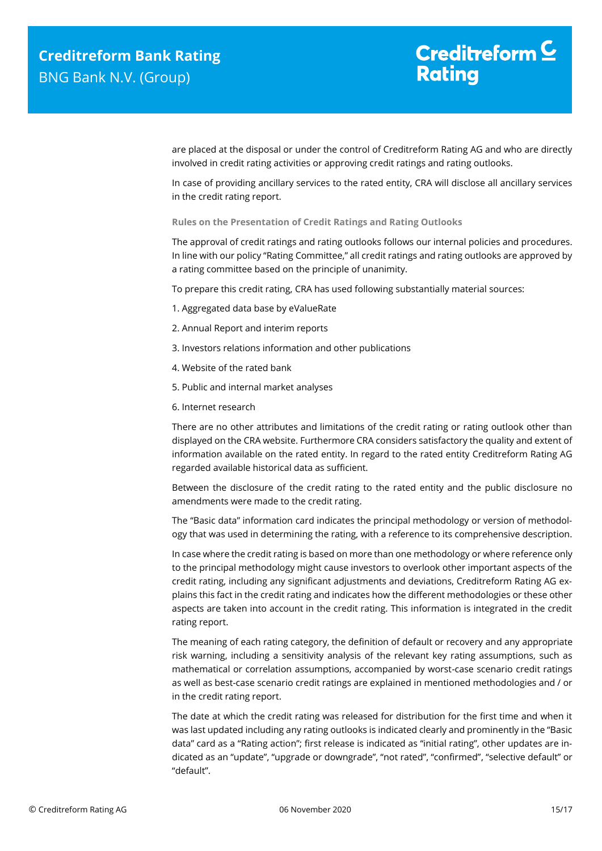are placed at the disposal or under the control of Creditreform Rating AG and who are directly involved in credit rating activities or approving credit ratings and rating outlooks.

In case of providing ancillary services to the rated entity, CRA will disclose all ancillary services in the credit rating report.

**Rules on the Presentation of Credit Ratings and Rating Outlooks**

The approval of credit ratings and rating outlooks follows our internal policies and procedures. In line with our policy "Rating Committee," all credit ratings and rating outlooks are approved by a rating committee based on the principle of unanimity.

To prepare this credit rating, CRA has used following substantially material sources:

- 1. Aggregated data base by eValueRate
- 2. Annual Report and interim reports
- 3. Investors relations information and other publications
- 4. Website of the rated bank
- 5. Public and internal market analyses
- 6. Internet research

There are no other attributes and limitations of the credit rating or rating outlook other than displayed on the CRA website. Furthermore CRA considers satisfactory the quality and extent of information available on the rated entity. In regard to the rated entity Creditreform Rating AG regarded available historical data as sufficient.

Between the disclosure of the credit rating to the rated entity and the public disclosure no amendments were made to the credit rating.

The "Basic data" information card indicates the principal methodology or version of methodology that was used in determining the rating, with a reference to its comprehensive description.

In case where the credit rating is based on more than one methodology or where reference only to the principal methodology might cause investors to overlook other important aspects of the credit rating, including any significant adjustments and deviations, Creditreform Rating AG explains this fact in the credit rating and indicates how the different methodologies or these other aspects are taken into account in the credit rating. This information is integrated in the credit rating report.

The meaning of each rating category, the definition of default or recovery and any appropriate risk warning, including a sensitivity analysis of the relevant key rating assumptions, such as mathematical or correlation assumptions, accompanied by worst-case scenario credit ratings as well as best-case scenario credit ratings are explained in mentioned methodologies and / or in the credit rating report.

The date at which the credit rating was released for distribution for the first time and when it was last updated including any rating outlooks is indicated clearly and prominently in the "Basic data" card as a "Rating action"; first release is indicated as "initial rating", other updates are indicated as an "update", "upgrade or downgrade", "not rated", "confirmed", "selective default" or "default".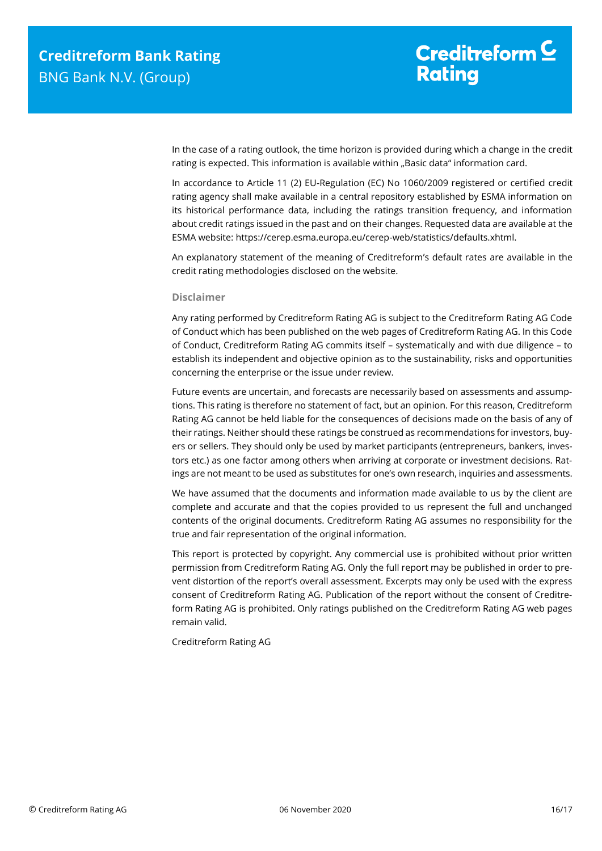In the case of a rating outlook, the time horizon is provided during which a change in the credit rating is expected. This information is available within "Basic data" information card.

In accordance to Article 11 (2) EU-Regulation (EC) No 1060/2009 registered or certified credit rating agency shall make available in a central repository established by ESMA information on its historical performance data, including the ratings transition frequency, and information about credit ratings issued in the past and on their changes. Requested data are available at the ESMA website: https://cerep.esma.europa.eu/cerep-web/statistics/defaults.xhtml.

An explanatory statement of the meaning of Creditreform's default rates are available in the credit rating methodologies disclosed on the website.

### **Disclaimer**

Any rating performed by Creditreform Rating AG is subject to the Creditreform Rating AG Code of Conduct which has been published on the web pages of Creditreform Rating AG. In this Code of Conduct, Creditreform Rating AG commits itself – systematically and with due diligence – to establish its independent and objective opinion as to the sustainability, risks and opportunities concerning the enterprise or the issue under review.

Future events are uncertain, and forecasts are necessarily based on assessments and assumptions. This rating is therefore no statement of fact, but an opinion. For this reason, Creditreform Rating AG cannot be held liable for the consequences of decisions made on the basis of any of their ratings. Neither should these ratings be construed as recommendations for investors, buyers or sellers. They should only be used by market participants (entrepreneurs, bankers, investors etc.) as one factor among others when arriving at corporate or investment decisions. Ratings are not meant to be used as substitutes for one's own research, inquiries and assessments.

We have assumed that the documents and information made available to us by the client are complete and accurate and that the copies provided to us represent the full and unchanged contents of the original documents. Creditreform Rating AG assumes no responsibility for the true and fair representation of the original information.

This report is protected by copyright. Any commercial use is prohibited without prior written permission from Creditreform Rating AG. Only the full report may be published in order to prevent distortion of the report's overall assessment. Excerpts may only be used with the express consent of Creditreform Rating AG. Publication of the report without the consent of Creditreform Rating AG is prohibited. Only ratings published on the Creditreform Rating AG web pages remain valid.

Creditreform Rating AG